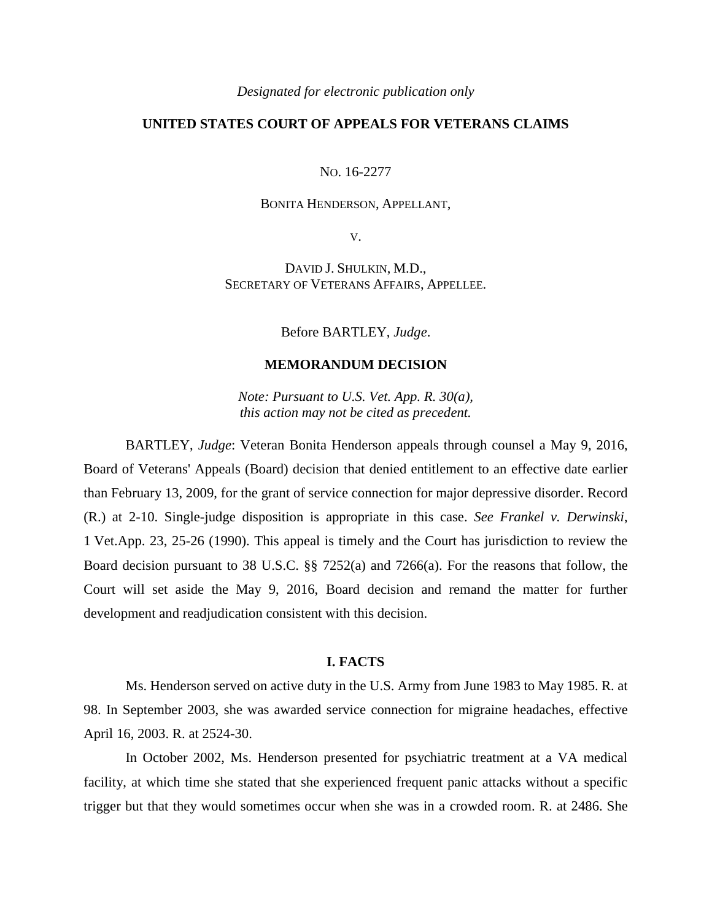#### *Designated for electronic publication only*

# **UNITED STATES COURT OF APPEALS FOR VETERANS CLAIMS**

NO. 16-2277

# BONITA HENDERSON, APPELLANT,

V.

DAVID J. SHULKIN, M.D., SECRETARY OF VETERANS AFFAIRS, APPELLEE.

Before BARTLEY, *Judge*.

## **MEMORANDUM DECISION**

*Note: Pursuant to U.S. Vet. App. R. 30(a), this action may not be cited as precedent.*

BARTLEY, *Judge*: Veteran Bonita Henderson appeals through counsel a May 9, 2016, Board of Veterans' Appeals (Board) decision that denied entitlement to an effective date earlier than February 13, 2009, for the grant of service connection for major depressive disorder. Record (R.) at 2-10. Single-judge disposition is appropriate in this case. *See Frankel v. Derwinski*, 1 Vet.App. 23, 25-26 (1990). This appeal is timely and the Court has jurisdiction to review the Board decision pursuant to 38 U.S.C. §§ 7252(a) and 7266(a). For the reasons that follow, the Court will set aside the May 9, 2016, Board decision and remand the matter for further development and readjudication consistent with this decision.

### **I. FACTS**

Ms. Henderson served on active duty in the U.S. Army from June 1983 to May 1985. R. at 98. In September 2003, she was awarded service connection for migraine headaches, effective April 16, 2003. R. at 2524-30.

In October 2002, Ms. Henderson presented for psychiatric treatment at a VA medical facility, at which time she stated that she experienced frequent panic attacks without a specific trigger but that they would sometimes occur when she was in a crowded room. R. at 2486. She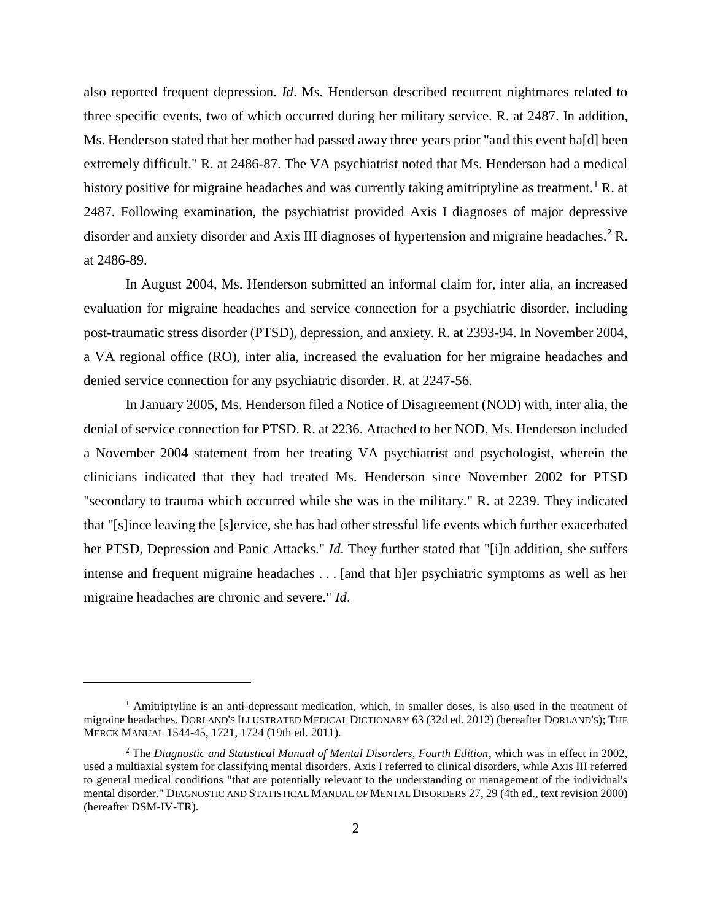also reported frequent depression. *Id*. Ms. Henderson described recurrent nightmares related to three specific events, two of which occurred during her military service. R. at 2487. In addition, Ms. Henderson stated that her mother had passed away three years prior "and this event ha[d] been extremely difficult." R. at 2486-87. The VA psychiatrist noted that Ms. Henderson had a medical history positive for migraine headaches and was currently taking amitriptyline as treatment.<sup>1</sup> R. at 2487. Following examination, the psychiatrist provided Axis I diagnoses of major depressive disorder and anxiety disorder and Axis III diagnoses of hypertension and migraine headaches.<sup>2</sup> R. at 2486-89.

In August 2004, Ms. Henderson submitted an informal claim for, inter alia, an increased evaluation for migraine headaches and service connection for a psychiatric disorder, including post-traumatic stress disorder (PTSD), depression, and anxiety. R. at 2393-94. In November 2004, a VA regional office (RO), inter alia, increased the evaluation for her migraine headaches and denied service connection for any psychiatric disorder. R. at 2247-56.

In January 2005, Ms. Henderson filed a Notice of Disagreement (NOD) with, inter alia, the denial of service connection for PTSD. R. at 2236. Attached to her NOD, Ms. Henderson included a November 2004 statement from her treating VA psychiatrist and psychologist, wherein the clinicians indicated that they had treated Ms. Henderson since November 2002 for PTSD "secondary to trauma which occurred while she was in the military." R. at 2239. They indicated that "[s]ince leaving the [s]ervice, she has had other stressful life events which further exacerbated her PTSD, Depression and Panic Attacks." *Id*. They further stated that "[i]n addition, she suffers intense and frequent migraine headaches . . . [and that h]er psychiatric symptoms as well as her migraine headaches are chronic and severe." *Id*.

 $\overline{a}$ 

<sup>&</sup>lt;sup>1</sup> Amitriptyline is an anti-depressant medication, which, in smaller doses, is also used in the treatment of migraine headaches. DORLAND'S ILLUSTRATED MEDICAL DICTIONARY 63 (32d ed. 2012) (hereafter DORLAND'S); THE MERCK MANUAL 1544-45, 1721, 1724 (19th ed. 2011).

<sup>2</sup> The *Diagnostic and Statistical Manual of Mental Disorders, Fourth Edition*, which was in effect in 2002, used a multiaxial system for classifying mental disorders. Axis I referred to clinical disorders, while Axis III referred to general medical conditions "that are potentially relevant to the understanding or management of the individual's mental disorder." DIAGNOSTIC AND STATISTICAL MANUAL OF MENTAL DISORDERS 27, 29 (4th ed., text revision 2000) (hereafter DSM-IV-TR).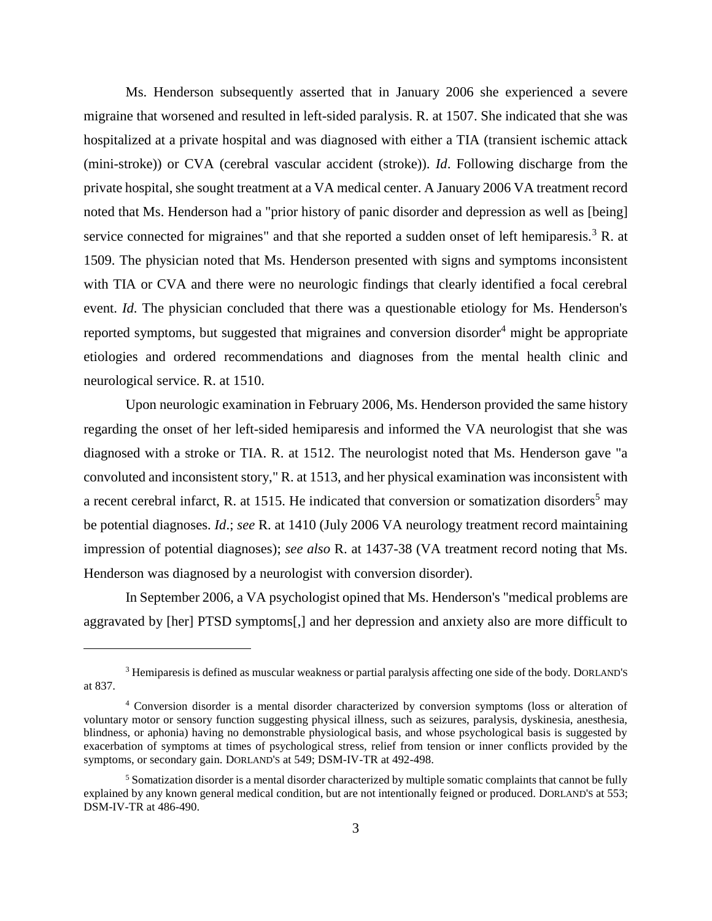Ms. Henderson subsequently asserted that in January 2006 she experienced a severe migraine that worsened and resulted in left-sided paralysis. R. at 1507. She indicated that she was hospitalized at a private hospital and was diagnosed with either a TIA (transient ischemic attack (mini-stroke)) or CVA (cerebral vascular accident (stroke)). *Id*. Following discharge from the private hospital, she sought treatment at a VA medical center. A January 2006 VA treatment record noted that Ms. Henderson had a "prior history of panic disorder and depression as well as [being] service connected for migraines" and that she reported a sudden onset of left hemiparesis.<sup>3</sup> R. at 1509. The physician noted that Ms. Henderson presented with signs and symptoms inconsistent with TIA or CVA and there were no neurologic findings that clearly identified a focal cerebral event. *Id*. The physician concluded that there was a questionable etiology for Ms. Henderson's reported symptoms, but suggested that migraines and conversion disorder<sup>4</sup> might be appropriate etiologies and ordered recommendations and diagnoses from the mental health clinic and neurological service. R. at 1510.

Upon neurologic examination in February 2006, Ms. Henderson provided the same history regarding the onset of her left-sided hemiparesis and informed the VA neurologist that she was diagnosed with a stroke or TIA. R. at 1512. The neurologist noted that Ms. Henderson gave "a convoluted and inconsistent story," R. at 1513, and her physical examination was inconsistent with a recent cerebral infarct, R. at 1515. He indicated that conversion or somatization disorders<sup>5</sup> may be potential diagnoses. *Id*.; *see* R. at 1410 (July 2006 VA neurology treatment record maintaining impression of potential diagnoses); *see also* R. at 1437-38 (VA treatment record noting that Ms. Henderson was diagnosed by a neurologist with conversion disorder).

In September 2006, a VA psychologist opined that Ms. Henderson's "medical problems are aggravated by [her] PTSD symptoms[,] and her depression and anxiety also are more difficult to

 $\overline{a}$ 

<sup>3</sup> Hemiparesis is defined as muscular weakness or partial paralysis affecting one side of the body. DORLAND'S at 837.

<sup>4</sup> Conversion disorder is a mental disorder characterized by conversion symptoms (loss or alteration of voluntary motor or sensory function suggesting physical illness, such as seizures, paralysis, dyskinesia, anesthesia, blindness, or aphonia) having no demonstrable physiological basis, and whose psychological basis is suggested by exacerbation of symptoms at times of psychological stress, relief from tension or inner conflicts provided by the symptoms, or secondary gain. DORLAND'S at 549; DSM-IV-TR at 492-498.

<sup>&</sup>lt;sup>5</sup> Somatization disorder is a mental disorder characterized by multiple somatic complaints that cannot be fully explained by any known general medical condition, but are not intentionally feigned or produced. DORLAND'S at 553; DSM-IV-TR at 486-490.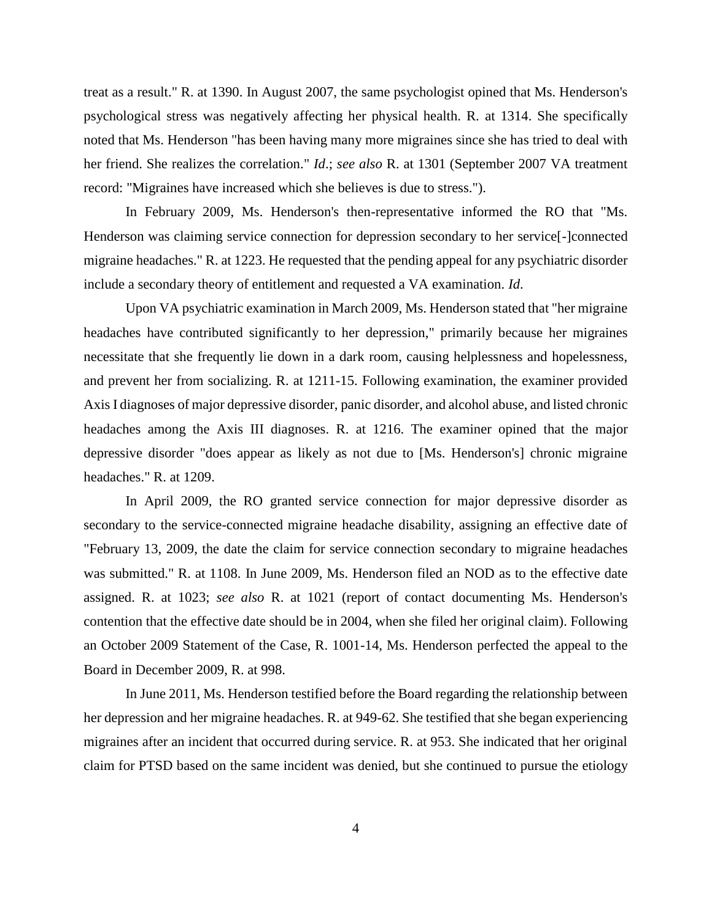treat as a result." R. at 1390. In August 2007, the same psychologist opined that Ms. Henderson's psychological stress was negatively affecting her physical health. R. at 1314. She specifically noted that Ms. Henderson "has been having many more migraines since she has tried to deal with her friend. She realizes the correlation." *Id*.; *see also* R. at 1301 (September 2007 VA treatment record: "Migraines have increased which she believes is due to stress.").

In February 2009, Ms. Henderson's then-representative informed the RO that "Ms. Henderson was claiming service connection for depression secondary to her service[-]connected migraine headaches." R. at 1223. He requested that the pending appeal for any psychiatric disorder include a secondary theory of entitlement and requested a VA examination. *Id*.

Upon VA psychiatric examination in March 2009, Ms. Henderson stated that "her migraine headaches have contributed significantly to her depression," primarily because her migraines necessitate that she frequently lie down in a dark room, causing helplessness and hopelessness, and prevent her from socializing. R. at 1211-15. Following examination, the examiner provided Axis I diagnoses of major depressive disorder, panic disorder, and alcohol abuse, and listed chronic headaches among the Axis III diagnoses. R. at 1216. The examiner opined that the major depressive disorder "does appear as likely as not due to [Ms. Henderson's] chronic migraine headaches." R. at 1209.

In April 2009, the RO granted service connection for major depressive disorder as secondary to the service-connected migraine headache disability, assigning an effective date of "February 13, 2009, the date the claim for service connection secondary to migraine headaches was submitted." R. at 1108. In June 2009, Ms. Henderson filed an NOD as to the effective date assigned. R. at 1023; *see also* R. at 1021 (report of contact documenting Ms. Henderson's contention that the effective date should be in 2004, when she filed her original claim). Following an October 2009 Statement of the Case, R. 1001-14, Ms. Henderson perfected the appeal to the Board in December 2009, R. at 998.

In June 2011, Ms. Henderson testified before the Board regarding the relationship between her depression and her migraine headaches. R. at 949-62. She testified that she began experiencing migraines after an incident that occurred during service. R. at 953. She indicated that her original claim for PTSD based on the same incident was denied, but she continued to pursue the etiology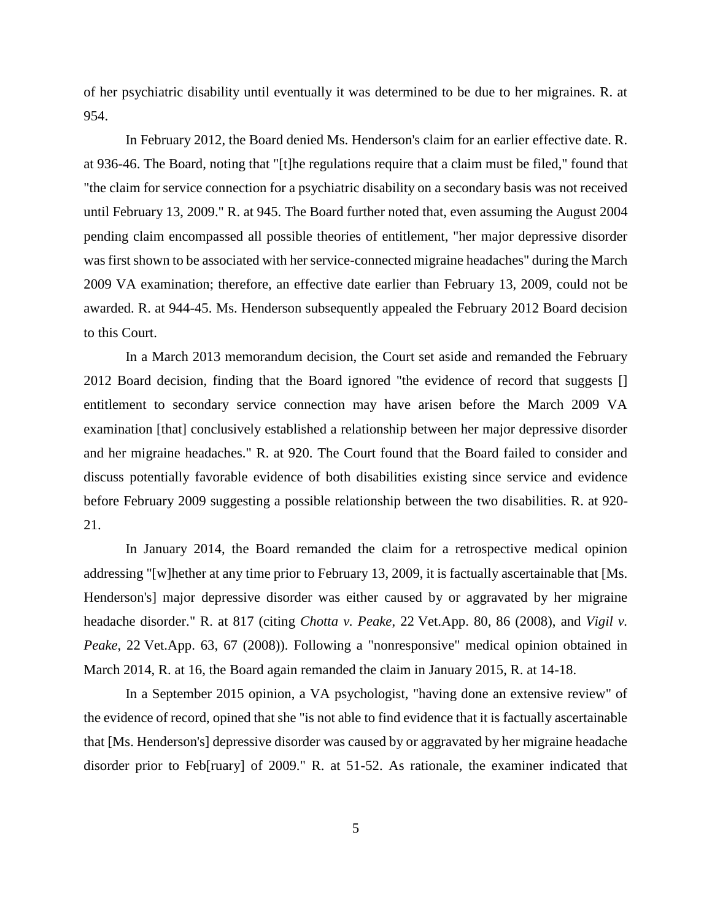of her psychiatric disability until eventually it was determined to be due to her migraines. R. at 954.

In February 2012, the Board denied Ms. Henderson's claim for an earlier effective date. R. at 936-46. The Board, noting that "[t]he regulations require that a claim must be filed," found that "the claim for service connection for a psychiatric disability on a secondary basis was not received until February 13, 2009." R. at 945. The Board further noted that, even assuming the August 2004 pending claim encompassed all possible theories of entitlement, "her major depressive disorder was first shown to be associated with her service-connected migraine headaches" during the March 2009 VA examination; therefore, an effective date earlier than February 13, 2009, could not be awarded. R. at 944-45. Ms. Henderson subsequently appealed the February 2012 Board decision to this Court.

In a March 2013 memorandum decision, the Court set aside and remanded the February 2012 Board decision, finding that the Board ignored "the evidence of record that suggests [] entitlement to secondary service connection may have arisen before the March 2009 VA examination [that] conclusively established a relationship between her major depressive disorder and her migraine headaches." R. at 920. The Court found that the Board failed to consider and discuss potentially favorable evidence of both disabilities existing since service and evidence before February 2009 suggesting a possible relationship between the two disabilities. R. at 920- 21.

In January 2014, the Board remanded the claim for a retrospective medical opinion addressing "[w]hether at any time prior to February 13, 2009, it is factually ascertainable that [Ms. Henderson's] major depressive disorder was either caused by or aggravated by her migraine headache disorder." R. at 817 (citing *Chotta v. Peake*, 22 Vet.App. 80, 86 (2008), and *Vigil v. Peake*, 22 Vet.App. 63, 67 (2008)). Following a "nonresponsive" medical opinion obtained in March 2014, R. at 16, the Board again remanded the claim in January 2015, R. at 14-18.

In a September 2015 opinion, a VA psychologist, "having done an extensive review" of the evidence of record, opined that she "is not able to find evidence that it is factually ascertainable that [Ms. Henderson's] depressive disorder was caused by or aggravated by her migraine headache disorder prior to Feb[ruary] of 2009." R. at 51-52. As rationale, the examiner indicated that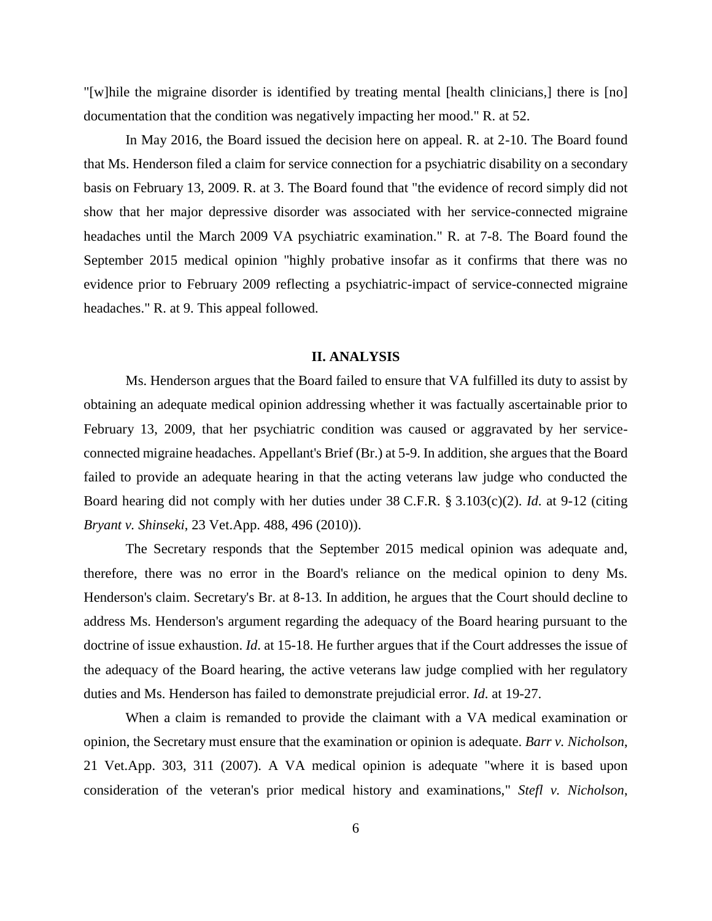"[w]hile the migraine disorder is identified by treating mental [health clinicians,] there is [no] documentation that the condition was negatively impacting her mood." R. at 52.

In May 2016, the Board issued the decision here on appeal. R. at 2-10. The Board found that Ms. Henderson filed a claim for service connection for a psychiatric disability on a secondary basis on February 13, 2009. R. at 3. The Board found that "the evidence of record simply did not show that her major depressive disorder was associated with her service-connected migraine headaches until the March 2009 VA psychiatric examination." R. at 7-8. The Board found the September 2015 medical opinion "highly probative insofar as it confirms that there was no evidence prior to February 2009 reflecting a psychiatric-impact of service-connected migraine headaches." R. at 9. This appeal followed.

#### **II. ANALYSIS**

Ms. Henderson argues that the Board failed to ensure that VA fulfilled its duty to assist by obtaining an adequate medical opinion addressing whether it was factually ascertainable prior to February 13, 2009, that her psychiatric condition was caused or aggravated by her serviceconnected migraine headaches. Appellant's Brief (Br.) at 5-9. In addition, she argues that the Board failed to provide an adequate hearing in that the acting veterans law judge who conducted the Board hearing did not comply with her duties under 38 C.F.R. § 3.103(c)(2). *Id*. at 9-12 (citing *Bryant v. Shinseki*, 23 Vet.App. 488, 496 (2010)).

The Secretary responds that the September 2015 medical opinion was adequate and, therefore, there was no error in the Board's reliance on the medical opinion to deny Ms. Henderson's claim. Secretary's Br. at 8-13. In addition, he argues that the Court should decline to address Ms. Henderson's argument regarding the adequacy of the Board hearing pursuant to the doctrine of issue exhaustion. *Id*. at 15-18. He further argues that if the Court addresses the issue of the adequacy of the Board hearing, the active veterans law judge complied with her regulatory duties and Ms. Henderson has failed to demonstrate prejudicial error. *Id*. at 19-27.

When a claim is remanded to provide the claimant with a VA medical examination or opinion, the Secretary must ensure that the examination or opinion is adequate. *Barr v. Nicholson*, 21 Vet.App. 303, 311 (2007). A VA medical opinion is adequate "where it is based upon consideration of the veteran's prior medical history and examinations," *Stefl v. Nicholson*,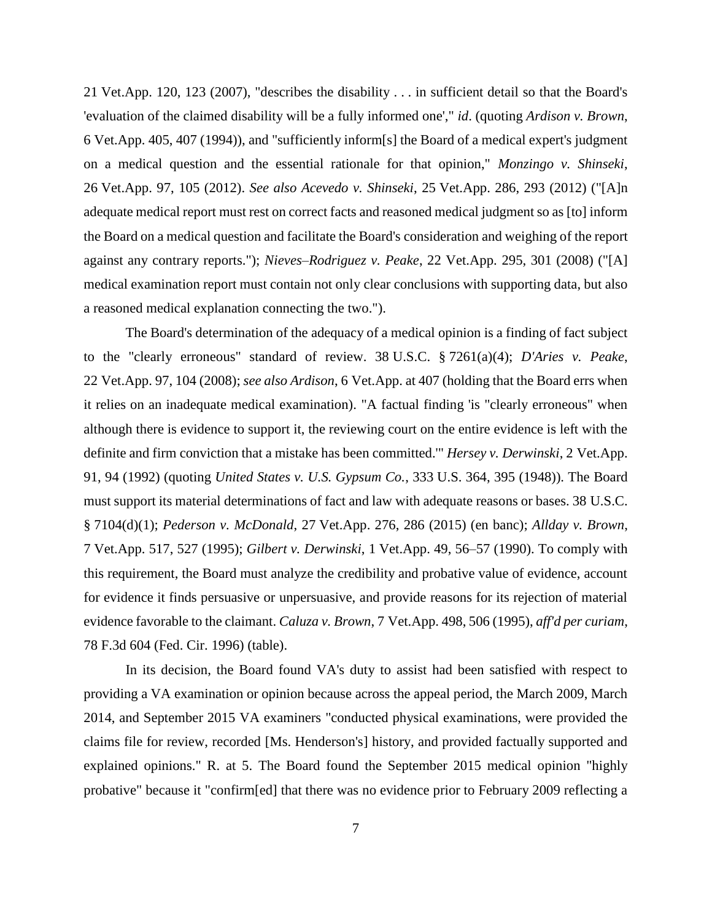21 Vet.App. 120, 123 (2007), "describes the disability . . . in sufficient detail so that the Board's 'evaluation of the claimed disability will be a fully informed one'," *id*. (quoting *Ardison v. Brown*, 6 Vet.App. 405, 407 (1994)), and "sufficiently inform[s] the Board of a medical expert's judgment on a medical question and the essential rationale for that opinion," *Monzingo v. Shinseki*, 26 Vet.App. 97, 105 (2012). *See also Acevedo v. Shinseki*, 25 Vet.App. 286, 293 (2012) ("[A]n adequate medical report must rest on correct facts and reasoned medical judgment so as [to] inform the Board on a medical question and facilitate the Board's consideration and weighing of the report against any contrary reports."); *Nieves–Rodriguez v. Peake*, 22 Vet.App. 295, 301 (2008) ("[A] medical examination report must contain not only clear conclusions with supporting data, but also a reasoned medical explanation connecting the two.").

The Board's determination of the adequacy of a medical opinion is a finding of fact subject to the "clearly erroneous" standard of review. 38 U.S.C. § 7261(a)(4); *D'Aries v. Peake*, 22 Vet.App. 97, 104 (2008); *see also Ardison*, 6 Vet.App. at 407 (holding that the Board errs when it relies on an inadequate medical examination). "A factual finding 'is "clearly erroneous" when although there is evidence to support it, the reviewing court on the entire evidence is left with the definite and firm conviction that a mistake has been committed.'" *Hersey v. Derwinski*, 2 Vet.App. 91, 94 (1992) (quoting *United States v. U.S. Gypsum Co.*, 333 U.S. 364, 395 (1948)). The Board must support its material determinations of fact and law with adequate reasons or bases. 38 U.S.C. § 7104(d)(1); *Pederson v. McDonald*, 27 [Vet.App. 276, 286 \(2015\)](https://1.next.westlaw.com/Link/Document/FullText?findType=Y&serNum=2035439893&pubNum=0000463&originatingDoc=I5eb0cbc0fe3711e69f02f3f03f61dd4d&refType=RP&fi=co_pp_sp_463_281&originationContext=document&transitionType=DocumentItem&contextData=(sc.Search)#co_pp_sp_463_281) (en banc); *Allday v. Brown*, 7 Vet.App. 517, 527 (1995); *Gilbert v. Derwinski*, 1 Vet.App. 49, 56–57 (1990). To comply with this requirement, the Board must analyze the credibility and probative value of evidence, account for evidence it finds persuasive or unpersuasive, and provide reasons for its rejection of material evidence favorable to the claimant. *Caluza v. Brown*, 7 Vet.App. 498, 506 (1995), *aff'd per curiam*, 78 F.3d 604 (Fed. Cir. 1996) (table).

In its decision, the Board found VA's duty to assist had been satisfied with respect to providing a VA examination or opinion because across the appeal period, the March 2009, March 2014, and September 2015 VA examiners "conducted physical examinations, were provided the claims file for review, recorded [Ms. Henderson's] history, and provided factually supported and explained opinions." R. at 5. The Board found the September 2015 medical opinion "highly probative" because it "confirm[ed] that there was no evidence prior to February 2009 reflecting a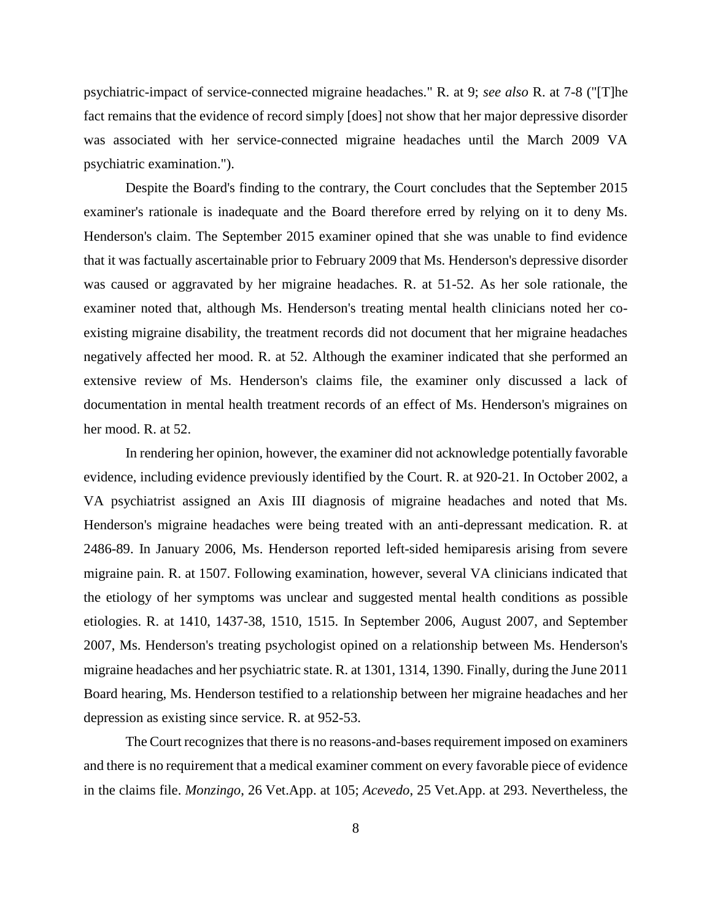psychiatric-impact of service-connected migraine headaches." R. at 9; *see also* R. at 7-8 ("[T]he fact remains that the evidence of record simply [does] not show that her major depressive disorder was associated with her service-connected migraine headaches until the March 2009 VA psychiatric examination.").

Despite the Board's finding to the contrary, the Court concludes that the September 2015 examiner's rationale is inadequate and the Board therefore erred by relying on it to deny Ms. Henderson's claim. The September 2015 examiner opined that she was unable to find evidence that it was factually ascertainable prior to February 2009 that Ms. Henderson's depressive disorder was caused or aggravated by her migraine headaches. R. at 51-52. As her sole rationale, the examiner noted that, although Ms. Henderson's treating mental health clinicians noted her coexisting migraine disability, the treatment records did not document that her migraine headaches negatively affected her mood. R. at 52. Although the examiner indicated that she performed an extensive review of Ms. Henderson's claims file, the examiner only discussed a lack of documentation in mental health treatment records of an effect of Ms. Henderson's migraines on her mood. R. at 52.

In rendering her opinion, however, the examiner did not acknowledge potentially favorable evidence, including evidence previously identified by the Court. R. at 920-21. In October 2002, a VA psychiatrist assigned an Axis III diagnosis of migraine headaches and noted that Ms. Henderson's migraine headaches were being treated with an anti-depressant medication. R. at 2486-89. In January 2006, Ms. Henderson reported left-sided hemiparesis arising from severe migraine pain. R. at 1507. Following examination, however, several VA clinicians indicated that the etiology of her symptoms was unclear and suggested mental health conditions as possible etiologies. R. at 1410, 1437-38, 1510, 1515. In September 2006, August 2007, and September 2007, Ms. Henderson's treating psychologist opined on a relationship between Ms. Henderson's migraine headaches and her psychiatric state. R. at 1301, 1314, 1390. Finally, during the June 2011 Board hearing, Ms. Henderson testified to a relationship between her migraine headaches and her depression as existing since service. R. at 952-53.

The Court recognizes that there is no reasons-and-bases requirement imposed on examiners and there is no requirement that a medical examiner comment on every favorable piece of evidence in the claims file. *Monzingo*, 26 Vet.App. at 105; *Acevedo*, 25 Vet.App. at 293. Nevertheless, the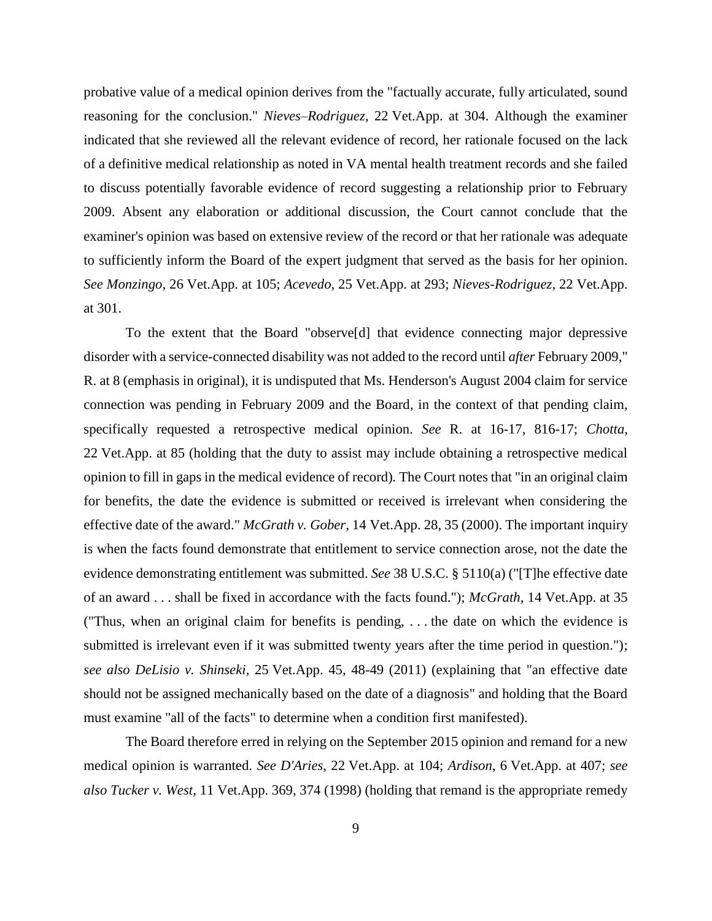probative value of a medical opinion derives from the "factually accurate, fully articulated, sound reasoning for the conclusion." *Nieves–Rodriguez*, 22 Vet.App. at 304. Although the examiner indicated that she reviewed all the relevant evidence of record, her rationale focused on the lack of a definitive medical relationship as noted in VA mental health treatment records and she failed to discuss potentially favorable evidence of record suggesting a relationship prior to February 2009. Absent any elaboration or additional discussion, the Court cannot conclude that the examiner's opinion was based on extensive review of the record or that her rationale was adequate to sufficiently inform the Board of the expert judgment that served as the basis for her opinion. *See Monzingo*, 26 Vet.App. at 105; *Acevedo*, 25 Vet.App. at 293; *Nieves-Rodriguez*, 22 Vet.App. at 301.

To the extent that the Board "observe[d] that evidence connecting major depressive disorder with a service-connected disability was not added to the record until *after* February 2009," R. at 8 (emphasis in original), it is undisputed that Ms. Henderson's August 2004 claim for service connection was pending in February 2009 and the Board, in the context of that pending claim, specifically requested a retrospective medical opinion. *See* R. at 16-17, 816-17; *Chotta*, 22 Vet.App. at 85 (holding that the duty to assist may include obtaining a retrospective medical opinion to fill in gaps in the medical evidence of record)*.* The Court notes that "in an original claim for benefits, the date the evidence is submitted or received is irrelevant when considering the effective date of the award." *McGrath v. Gober*, 14 Vet.App. 28, 35 (2000). The important inquiry is when the facts found demonstrate that entitlement to service connection arose, not the date the evidence demonstrating entitlement was submitted. *See* 38 U.S.C. § 5110(a) ("[T]he effective date of an award . . . shall be fixed in accordance with the facts found."); *McGrath*, 14 Vet.App. at 35 ("Thus, when an original claim for benefits is pending, . . . the date on which the evidence is submitted is irrelevant even if it was submitted twenty years after the time period in question."); *see also DeLisio v. Shinseki*, 25 Vet.App. 45, 48-49 (2011) (explaining that "an effective date should not be assigned mechanically based on the date of a diagnosis" and holding that the Board must examine "all of the facts" to determine when a condition first manifested).

The Board therefore erred in relying on the September 2015 opinion and remand for a new medical opinion is warranted. *See D'Aries*, 22 Vet.App. at 104; *Ardison*, 6 Vet.App. at 407; *see also Tucker v. West*, 11 Vet.App. 369, 374 (1998) (holding that remand is the appropriate remedy